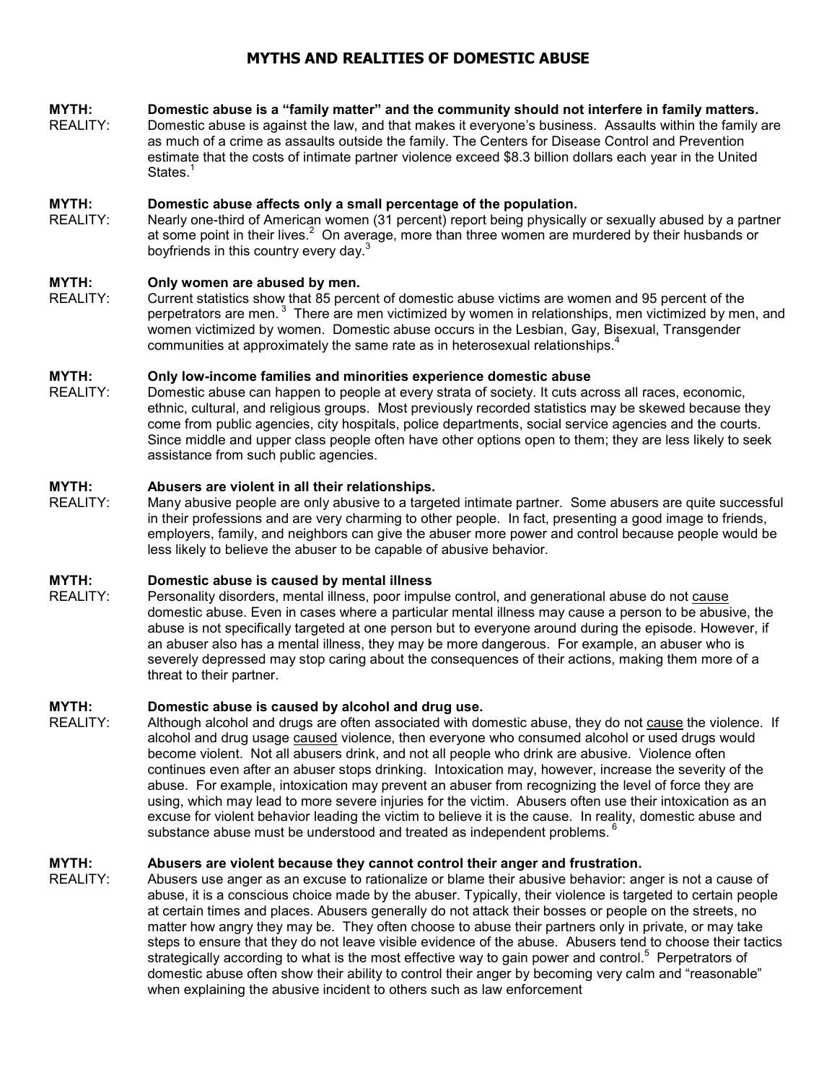# **MYTHS AND REALITIES OF DOMESTIC ABUSE**

#### **MYTH: Domestic abuse is a "family matter" and the community should not interfere in family matters.**

REALITY: Domestic abuse is against the law, and that makes it everyone's business. Assaults within the family are as much of a crime as assaults outside the family. The Centers for Disease Control and Prevention estimate that the costs of intimate partner violence exceed \$8.3 billion dollars each year in the United States.<sup>1</sup>

#### **MYTH: Domestic abuse affects only a small percentage of the population.**

REALITY: Nearly one-third of American women (31 percent) report being physically or sexually abused by a partner at some point in their lives.<sup>2</sup> On average, more than three women are murdered by their husbands or boyfriends in this country every day. $3$ 

#### **MYTH: Only women are abused by men.**

REALITY: Current statistics show that 85 percent of domestic abuse victims are women and 95 percent of the perpetrators are men.<sup>3</sup> There are men victimized by women in relationships, men victimized by men, and women victimized by women. Domestic abuse occurs in the Lesbian, Gay, Bisexual, Transgender communities at approximately the same rate as in heterosexual relationships.<sup>4</sup>

# **MYTH: Only low-income families and minorities experience domestic abuse**

Domestic abuse can happen to people at every strata of society. It cuts across all races, economic, ethnic, cultural, and religious groups. Most previously recorded statistics may be skewed because they come from public agencies, city hospitals, police departments, social service agencies and the courts. Since middle and upper class people often have other options open to them; they are less likely to seek assistance from such public agencies.

#### **MYTH: Abusers are violent in all their relationships.**

REALITY: Many abusive people are only abusive to a targeted intimate partner. Some abusers are quite successful in their professions and are very charming to other people. In fact, presenting a good image to friends, employers, family, and neighbors can give the abuser more power and control because people would be less likely to believe the abuser to be capable of abusive behavior.

#### **MYTH: Domestic abuse is caused by mental illness**

REALITY: Personality disorders, mental illness, poor impulse control, and generational abuse do not cause domestic abuse. Even in cases where a particular mental illness may cause a person to be abusive, the abuse is not specifically targeted at one person but to everyone around during the episode. However, if an abuser also has a mental illness, they may be more dangerous. For example, an abuser who is severely depressed may stop caring about the consequences of their actions, making them more of a threat to their partner.

## **MYTH: Domestic abuse is caused by alcohol and drug use.**

REALITY: Although alcohol and drugs are often associated with domestic abuse, they do not cause the violence. If alcohol and drug usage caused violence, then everyone who consumed alcohol or used drugs would become violent. Not all abusers drink, and not all people who drink are abusive. Violence often continues even after an abuser stops drinking. Intoxication may, however, increase the severity of the abuse. For example, intoxication may prevent an abuser from recognizing the level of force they are using, which may lead to more severe injuries for the victim. Abusers often use their intoxication as an excuse for violent behavior leading the victim to believe it is the cause. In reality, domestic abuse and substance abuse must be understood and treated as independent problems.<sup>6</sup>

# **MYTH:** Abusers are violent because they cannot control their anger and frustration.<br>REALITY: Abusers use anger as an excuse to rationalize or blame their abusive behavior: an

Abusers use anger as an excuse to rationalize or blame their abusive behavior: anger is not a cause of abuse, it is a conscious choice made by the abuser. Typically, their violence is targeted to certain people at certain times and places. Abusers generally do not attack their bosses or people on the streets, no matter how angry they may be. They often choose to abuse their partners only in private, or may take steps to ensure that they do not leave visible evidence of the abuse. Abusers tend to choose their tactics strategically according to what is the most effective way to gain power and control.<sup>5</sup> Perpetrators of domestic abuse often show their ability to control their anger by becoming very calm and "reasonable" when explaining the abusive incident to others such as law enforcement